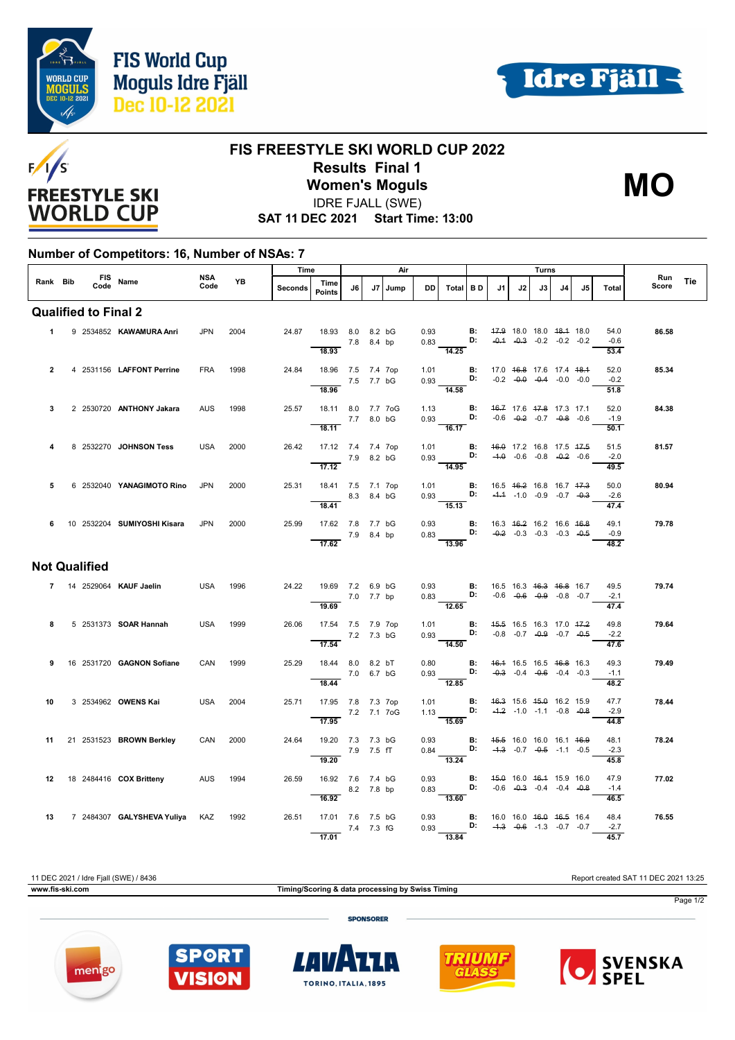



**MO**



## **FIS FREESTYLE SKI WORLD CUP 2022 Results Final 1**

**Women's Moguls** IDRE FJALL (SWE)

**SAT 11 DEC 2021 Start Time: 13:00**

## **Number of Competitors: 16, Number of NSAs: 7**

|                             |  |  |  |                                   | NSA<br>Code | YB   | Time    |                                      | Air        |  |           |      | Turns                                                                                                         |    |                          |    |    |    |                                    | Run            |       |     |
|-----------------------------|--|--|--|-----------------------------------|-------------|------|---------|--------------------------------------|------------|--|-----------|------|---------------------------------------------------------------------------------------------------------------|----|--------------------------|----|----|----|------------------------------------|----------------|-------|-----|
|                             |  |  |  | Rank Bib FIS Name                 |             |      | Seconds | Time<br>Points                       | J6 I       |  | J7   Jump | DD.  | Total BD                                                                                                      |    | J1                       | J2 | J3 | J4 | .15                                | Total          | Score | Tie |
| <b>Qualified to Final 2</b> |  |  |  |                                   |             |      |         |                                      |            |  |           |      |                                                                                                               |    |                          |    |    |    |                                    |                |       |     |
|                             |  |  |  | 1 9 2534852 KAWAMURA Anri         | <b>JPN</b>  | 2004 | 24.87   | 18.93 8.0 8.2 bG                     | 7.8 8.4 bp |  |           | 0.93 | $0.83$ D:                                                                                                     | B: | 47.9 18.0 18.0 48.4 18.0 |    |    |    | $-0.4$ $-0.3$ $-0.2$ $-0.2$ $-0.2$ | 54.0<br>$-0.6$ | 86.58 |     |
|                             |  |  |  |                                   |             |      |         | 18.93                                |            |  |           |      | $\frac{1}{14.25}$                                                                                             |    |                          |    |    |    |                                    | 53.4           |       |     |
| $\overline{2}$              |  |  |  | 4 2531156 LAFFONT Perrine         | <b>FRA</b>  | 1998 | 24.84   | 18.96 7.5 7.4 7op<br>$- 7.5 7.7 bG$  |            |  |           |      | 1.01 <b>B</b> : 17.0 <del>16.8</del> 17.6 17.4 <del>18.1</del><br>0.93 <b>D</b> : -0.2 -0.0 -0.4 -0.0 -0.0    |    |                          |    |    |    |                                    | 52.0<br>$-0.2$ | 85.34 |     |
|                             |  |  |  |                                   |             |      |         | 18.96                                |            |  |           |      | $\overline{14.58}$                                                                                            |    |                          |    |    |    |                                    | 51.8           |       |     |
| 3                           |  |  |  | 2 2530720 ANTHONY Jakara          | <b>AUS</b>  | 1998 | 25.57   | 18.11 8.0 7.7 7oG                    | 7.7 8.0 bG |  |           |      | 1.13 <b>B:</b> 46.7 17.6 47.8 17.3 17.1<br>0.93 <b>D:</b> -0.6 -0.2 -0.7 -0.8 -0.6                            |    |                          |    |    |    |                                    | 52.0<br>$-1.9$ | 84.38 |     |
|                             |  |  |  |                                   |             |      |         | 18.11                                |            |  |           |      | $\frac{1}{16.17}$                                                                                             |    |                          |    |    |    |                                    | 50.1           |       |     |
|                             |  |  |  | 8 2532270 JOHNSON Tess            | USA         | 2000 | 26.42   | 17.12 7.4 7.4 7op                    |            |  |           |      | 1.01 <b>B:</b> 46.0 17.2 16.8 17.5 47.5<br>0.93 <b>D:</b> -4.0 -0.6 -0.8 -0. <del>2</del> -0.6                |    |                          |    |    |    |                                    | 51.5<br>$-2.0$ | 81.57 |     |
|                             |  |  |  |                                   |             |      |         | $\frac{}{17.12}$ 7.9 8.2 bG          |            |  |           |      | $-14.95$                                                                                                      |    |                          |    |    |    |                                    | 49.5           |       |     |
| 5                           |  |  |  | 6 2532040 YANAGIMOTO Rino         | <b>JPN</b>  | 2000 | 25.31   | 18.41 7.5 7.1 7op<br>8.3 8.4 bG      |            |  |           |      | 1.01 <b>B</b> : 16.5 46.2 16.8 16.7 47.3<br>0.93 <b>D:</b> $-4.4$ $-1.0$ $-0.9$ $-0.7$ $-0.3$                 |    |                          |    |    |    |                                    | 50.0<br>$-2.6$ | 80.94 |     |
|                             |  |  |  |                                   |             |      |         | 18.41                                |            |  |           |      | $\overline{15.13}$                                                                                            |    |                          |    |    |    |                                    | 47.4           |       |     |
|                             |  |  |  | 6 10 2532204 SUMIYOSHI Kisara     | <b>JPN</b>  | 2000 | 25.99   | 17.62 7.8 7.7 bG<br>7.9 8.4 bp       |            |  |           |      | 0.93 B: 16.3 46.2 16.2 16.6 46.8<br>0.83 D: -0.2 -0.3 -0.3 -0.3 -0.4                                          |    |                          |    |    |    |                                    | 49.1<br>$-0.9$ | 79.78 |     |
|                             |  |  |  |                                   |             |      |         | $\overline{17.62}$                   |            |  |           |      | $\overline{13.96}$                                                                                            |    |                          |    |    |    |                                    | 48.2           |       |     |
| <b>Not Qualified</b>        |  |  |  |                                   |             |      |         |                                      |            |  |           |      |                                                                                                               |    |                          |    |    |    |                                    |                |       |     |
|                             |  |  |  | 7 14 2529064 KAUF Jaelin          | USA         | 1996 |         | 24.22 19.69 7.2 6.9 bG<br>7.0 7.7 bp |            |  |           |      | 0.93 <b>B:</b> 16.5 16.3 <del>16.3 16.8</del> 16.7<br>0.83 <b>D:</b> -0.6 -0.6 -0.9 -0.8 -0.7                 |    |                          |    |    |    |                                    | 49.5<br>$-2.1$ | 79.74 |     |
|                             |  |  |  |                                   |             |      |         | 19.69                                |            |  |           |      | $\frac{1}{12.65}$                                                                                             |    |                          |    |    |    |                                    | 47.4           |       |     |
| 8                           |  |  |  | 5 2531373 <b>SOAR Hannah</b>      | USA         | 1999 | 26.06   | 17.54 7.5 7.9 7op<br>7.2 7.3 bG      |            |  |           |      | 1.01 <b>B</b> : 4 <del>5.5</del> 16.5 16.3 17.0 47.2<br>0.93 <b>D:</b> -0.8 -0.7 -0.9 -0.7 -0.5               |    |                          |    |    |    |                                    | 49.8<br>$-2.2$ | 79.64 |     |
|                             |  |  |  |                                   |             |      |         | $\overline{17.54}$                   |            |  |           |      | $\frac{1}{14.50}$                                                                                             |    |                          |    |    |    |                                    | 47.6           |       |     |
| 9                           |  |  |  | 16 2531720 <b>GAGNON Sofiane</b>  | CAN         | 1999 | 25.29   | 18.44 8.0 8.2 bT<br>7.0 6.7 bG       |            |  |           |      | 0.80 <b>B:</b> $46.4$ 16.5 16.5 46.8 16.3<br>0.93 <b>D:</b> $-0.3$ -0.4 $-0.6$ -0.4 -0.3                      |    |                          |    |    |    |                                    | 49.3<br>$-1.1$ | 79.49 |     |
|                             |  |  |  |                                   |             |      |         | 18.44                                |            |  |           |      | $\frac{1}{12.85}$                                                                                             |    |                          |    |    |    |                                    | 48.2           |       |     |
| 10                          |  |  |  | 3 2534962 OWENS Kai               | USA         | 2004 | 25.71   | 17.95 7.8 7.3 7op<br>7.2 7.1 7oG     |            |  |           |      | 1.01 <b>B:</b> 4 <del>6.3</del> 15.6 4 <del>5.0</del> 16.2 15.9<br>1.13 <b>D:</b> -4.2 -1.0 -1.1 -0.8 -0.8    |    |                          |    |    |    |                                    | 47.7<br>$-2.9$ | 78.44 |     |
|                             |  |  |  |                                   |             |      |         | 17.95                                |            |  |           |      | $-15.69$                                                                                                      |    |                          |    |    |    |                                    | 44.8           |       |     |
| 11                          |  |  |  | 21 2531523 BROWN Berkley          | CAN         | 2000 | 24.64   | 19.20 7.3 7.3 bG<br>7.9 7.5 fT       |            |  |           |      | 0.93 <b>B:</b> 45.5 16.0 16.0 16.1 46.9<br>0.84 <b>D:</b> $-4.3$ $-0.7$ $-0.5$ $-1.1$ $-0.5$                  |    |                          |    |    |    |                                    | 48.1<br>$-2.3$ | 78.24 |     |
|                             |  |  |  |                                   |             |      |         | 19.20                                |            |  |           |      | 13.24                                                                                                         |    |                          |    |    |    |                                    | 45.8<br>47.9   |       |     |
| 12                          |  |  |  | 18 2484416 COX Britteny           | AUS         | 1994 | 26.59   | 16.92 7.6 7.4 bG<br>8.2 7.8 bp       |            |  |           |      | 0.93 <b>B</b> : $45.0$ 16.0 $46.4$ 15.9 16.0<br>0.83 <b>D:</b> -0.6 -0.3 -0.4 -0.4 -0.8<br>$\overline{13.60}$ |    |                          |    |    |    |                                    | $-1.4$         | 77.02 |     |
|                             |  |  |  | 13 7 2484307 GALYSHEVA Yuliya KAZ |             | 1992 | 26.51   | 16.92<br>17.01 7.6 7.5 bG            |            |  |           |      | 0.93 <b>B:</b> 16.0 16.0 <del>16.0 16.5</del> 16.4                                                            |    |                          |    |    |    |                                    | 46.5<br>48.4   | 76.55 |     |
|                             |  |  |  |                                   |             |      |         | 7.4 7.3 fG                           |            |  |           |      |                                                                                                               |    |                          |    |    |    |                                    | $-2.7$         |       |     |
|                             |  |  |  |                                   |             |      |         | 17.01                                |            |  |           |      | $\overline{13.84}$                                                                                            |    |                          |    |    |    |                                    | 45.7           |       |     |

11 DEC 2021 / Idre Fjall (SWE) / 8436 Report created SAT 11 DEC 2021 13:25 **www.fis-ski.com Timing/Scoring & data processing by Swiss Timing** Page 1/2 **SPONSORER**